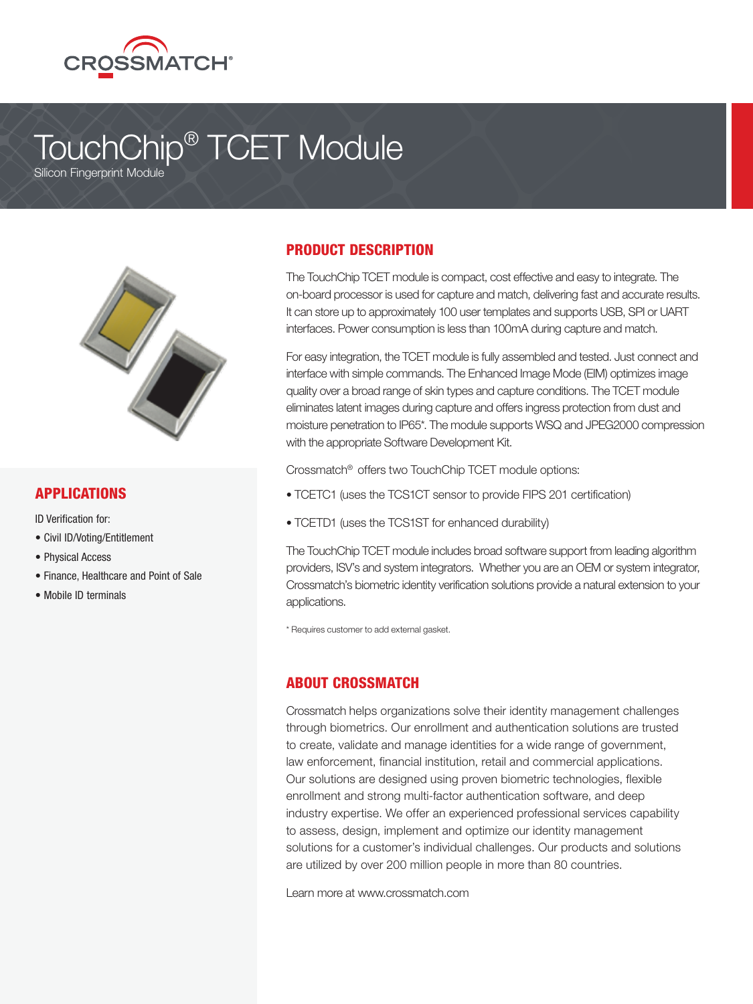

# TouchChip® TCET Module

Silicon Fingerprint Module



#### APPLICATIONS

ID Verification for:

- Civil ID/Voting/Entitlement
- Physical Access
- Finance, Healthcare and Point of Sale
- Mobile ID terminals

## PRODUCT DESCRIPTION

The TouchChip TCET module is compact, cost effective and easy to integrate. The on-board processor is used for capture and match, delivering fast and accurate results. It can store up to approximately 100 user templates and supports USB, SPI or UART interfaces. Power consumption is less than 100mA during capture and match.

For easy integration, the TCET module is fully assembled and tested. Just connect and interface with simple commands. The Enhanced Image Mode (EIM) optimizes image quality over a broad range of skin types and capture conditions. The TCET module eliminates latent images during capture and offers ingress protection from dust and moisture penetration to IP65\*. The module supports WSQ and JPEG2000 compression with the appropriate Software Development Kit.

Crossmatch® offers two TouchChip TCET module options:

- TCETC1 (uses the TCS1CT sensor to provide FIPS 201 certification)
- TCETD1 (uses the TCS1ST for enhanced durability)

The TouchChip TCET module includes broad software support from leading algorithm providers, ISV's and system integrators. Whether you are an OEM or system integrator, Crossmatch's biometric identity verification solutions provide a natural extension to your applications.

\* Requires customer to add external gasket.

#### ABOUT CROSSMATCH

Crossmatch helps organizations solve their identity management challenges through biometrics. Our enrollment and authentication solutions are trusted to create, validate and manage identities for a wide range of government, law enforcement, financial institution, retail and commercial applications. Our solutions are designed using proven biometric technologies, flexible enrollment and strong multi-factor authentication software, and deep industry expertise. We offer an experienced professional services capability to assess, design, implement and optimize our identity management solutions for a customer's individual challenges. Our products and solutions are utilized by over 200 million people in more than 80 countries.

Learn more at www.crossmatch.com